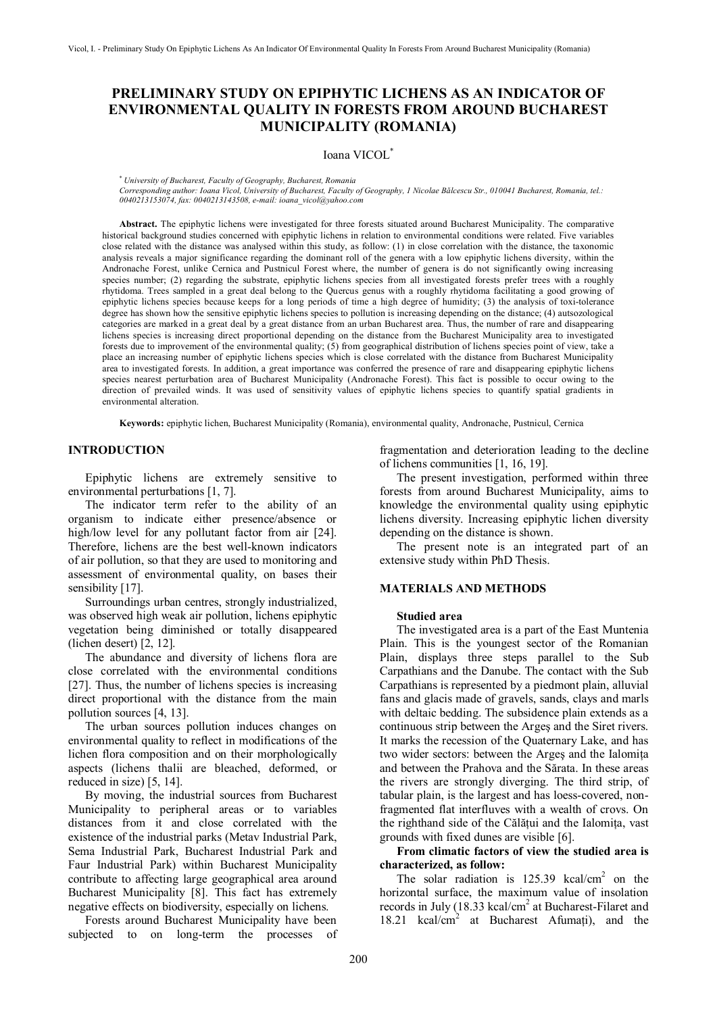# **PRELIMINARY STUDY ON EPIPHYTIC LICHENS AS AN INDICATOR OF ENVIRONMENTAL QUALITY IN FORESTS FROM AROUND BUCHAREST MUNICIPALITY (ROMANIA)**

# Ioana VICOL\*

\*  *University of Bucharest, Faculty of Geography, Bucharest, Romania*

*Corresponding author: Ioana Vicol, University of Bucharest, Faculty of Geography, 1 Nicolae Bălcescu Str., 010041 Bucharest, Romania, tel.: 0040213153074, fax: 0040213143508, e-mail: [ioana\\_vicol@yahoo.com](mailto:ioana_vicol@yahoo.com)*

**Abstract.** The epiphytic lichens were investigated for three forests situated around Bucharest Municipality. The comparative historical background studies concerned with epiphytic lichens in relation to environmental conditions were related. Five variables close related with the distance was analysed within this study, as follow: (1) in close correlation with the distance, the taxonomic analysis reveals a major significance regarding the dominant roll of the genera with a low epiphytic lichens diversity, within the Andronache Forest, unlike Cernica and Pustnicul Forest where, the number of genera is do not significantly owing increasing species number; (2) regarding the substrate, epiphytic lichens species from all investigated forests prefer trees with a roughly rhytidoma. Trees sampled in a great deal belong to the Quercus genus with a roughly rhytidoma facilitating a good growing of epiphytic lichens species because keeps for a long periods of time a high degree of humidity; (3) the analysis of toxi-tolerance degree has shown how the sensitive epiphytic lichens species to pollution is increasing depending on the distance; (4) autsozological categories are marked in a great deal by a great distance from an urban Bucharest area. Thus, the number of rare and disappearing lichens species is increasing direct proportional depending on the distance from the Bucharest Municipality area to investigated forests due to improvement of the environmental quality; (5) from geographical distribution of lichens species point of view, take a place an increasing number of epiphytic lichens species which is close correlated with the distance from Bucharest Municipality area to investigated forests. In addition, a great importance was conferred the presence of rare and disappearing epiphytic lichens species nearest perturbation area of Bucharest Municipality (Andronache Forest). This fact is possible to occur owing to the direction of prevailed winds. It was used of sensitivity values of epiphytic lichens species to quantify spatial gradients in environmental alteration.

**Keywords:** epiphytic lichen, Bucharest Municipality (Romania), environmental quality, Andronache, Pustnicul, Cernica

# **INTRODUCTION**

Epiphytic lichens are extremely sensitive to environmental perturbations [1, 7].

The indicator term refer to the ability of an organism to indicate either presence/absence or high/low level for any pollutant factor from air [24]. Therefore, lichens are the best well-known indicators of air pollution, so that they are used to monitoring and assessment of environmental quality, on bases their sensibility [17].

Surroundings urban centres, strongly industrialized, was observed high weak air pollution, lichens epiphytic vegetation being diminished or totally disappeared (lichen desert) [2, 12].

The abundance and diversity of lichens flora are close correlated with the environmental conditions [27]. Thus, the number of lichens species is increasing direct proportional with the distance from the main pollution sources [4, 13].

The urban sources pollution induces changes on environmental quality to reflect in modifications of the lichen flora composition and on their morphologically aspects (lichens thalii are bleached, deformed, or reduced in size) [5, 14].

By moving, the industrial sources from Bucharest Municipality to peripheral areas or to variables distances from it and close correlated with the existence of the industrial parks (Metav Industrial Park, Sema Industrial Park, Bucharest Industrial Park and Faur Industrial Park) within Bucharest Municipality contribute to affecting large geographical area around Bucharest Municipality [8]. This fact has extremely negative effects on biodiversity, especially on lichens.

Forests around Bucharest Municipality have been subjected to on long-term the processes of fragmentation and deterioration leading to the decline of lichens communities [1, 16, 19].

The present investigation, performed within three forests from around Bucharest Municipality, aims to knowledge the environmental quality using epiphytic lichens diversity. Increasing epiphytic lichen diversity depending on the distance is shown.

The present note is an integrated part of an extensive study within PhD Thesis.

# **MATERIALS AND METHODS**

#### **Studied area**

The investigated area is a part of the East Muntenia Plain. This is the youngest sector of the Romanian Plain, displays three steps parallel to the Sub Carpathians and the Danube. The contact with the Sub Carpathians is represented by a piedmont plain, alluvial fans and glacis made of gravels, sands, clays and marls with deltaic bedding. The subsidence plain extends as a continuous strip between the Argeş and the Siret rivers. It marks the recession of the Quaternary Lake, and has two wider sectors: between the Argeş and the Ialomiţa and between the Prahova and the Sărata. In these areas the rivers are strongly diverging. The third strip, of tabular plain, is the largest and has loess-covered, nonfragmented flat interfluves with a wealth of crovs. On the righthand side of the Călătui and the Ialomita, vast grounds with fixed dunes are visible [6].

## **From climatic factors of view the studied area is characterized, as follow:**

The solar radiation is  $125.39$  kcal/cm<sup>2</sup> on the horizontal surface, the maximum value of insolation records in July (18.33 kcal/cm<sup>2</sup> at Bucharest-Filaret and 18.21 kcal/cm<sup>2</sup> at Bucharest Afumați), and the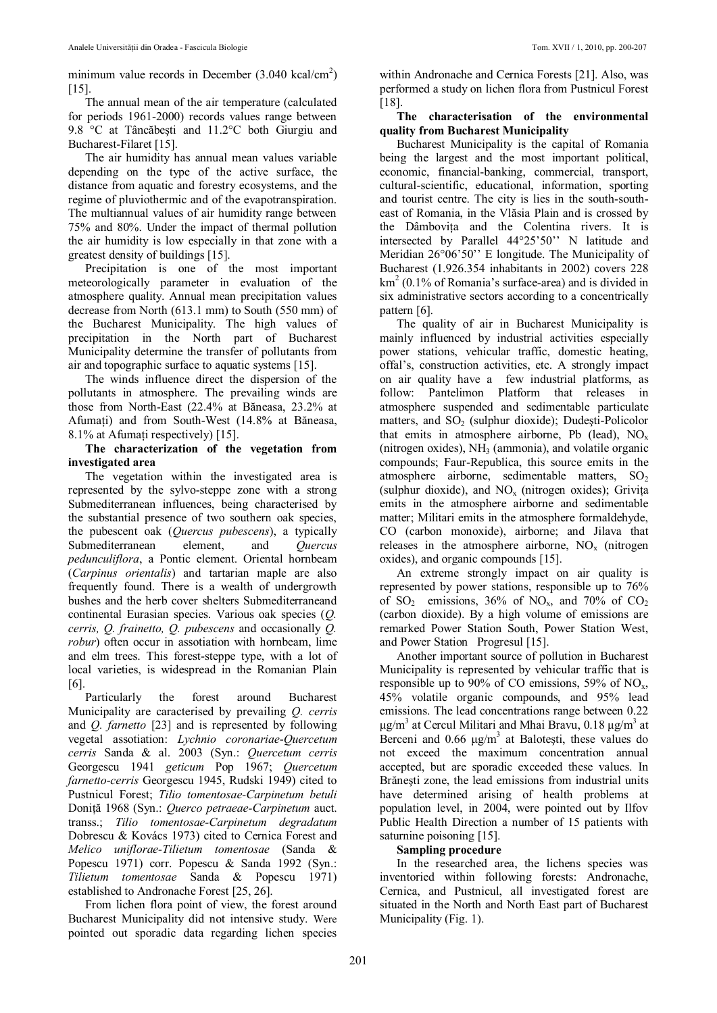minimum value records in December  $(3.040 \text{ kcal/cm}^2)$  $[15]$ .

The annual mean of the air temperature (calculated for periods 1961-2000) records values range between 9.8 °C at Tâncăbeşti and 11.2°C both Giurgiu and Bucharest-Filaret [15].

The air humidity has annual mean values variable depending on the type of the active surface, the distance from aquatic and forestry ecosystems, and the regime of pluviothermic and of the evapotranspiration. The multiannual values of air humidity range between 75% and 80%. Under the impact of thermal pollution the air humidity is low especially in that zone with a greatest density of buildings [15].

Precipitation is one of the most important meteorologically parameter in evaluation of the atmosphere quality. Annual mean precipitation values decrease from North (613.1 mm) to South (550 mm) of the Bucharest Municipality. The high values of precipitation in the North part of Bucharest Municipality determine the transfer of pollutants from air and topographic surface to aquatic systems [15].

The winds influence direct the dispersion of the pollutants in atmosphere. The prevailing winds are those from North-East (22.4% at Băneasa, 23.2% at Afumaţi) and from South-West (14.8% at Băneasa, 8.1% at Afumaţi respectively) [15].

**The characterization of the vegetation from investigated area**

The vegetation within the investigated area is represented by the sylvo-steppe zone with a strong Submediterranean influences, being characterised by the substantial presence of two southern oak species, the pubescent oak (*Quercus pubescens*), a typically Submediterranean element, and *Quercus pedunculiflora*, a Pontic element. Oriental hornbeam (*Carpinus orientalis*) and tartarian maple are also frequently found. There is a wealth of undergrowth bushes and the herb cover shelters Submediterraneand continental Eurasian species. Various oak species (*Q. cerris, Q. frainetto, Q. pubescens* and occasionally *Q. robur*) often occur in assotiation with hornbeam, lime and elm trees. This forest-steppe type, with a lot of local varieties, is widespread in the Romanian Plain [6].

Particularly the forest around Bucharest Municipality are caracterised by prevailing *Q. cerris* and *Q. farnetto* [23] and is represented by following vegetal assotiation: *Lychnio coronariae*-*Quercetum cerris* Sanda & al. 2003 (Syn.: *Quercetum cerris* Georgescu 1941 *geticum* Pop 1967; *Quercetum farnetto-cerris* Georgescu 1945, Rudski 1949) cited to Pustnicul Forest; *Tilio tomentosae-Carpinetum betuli* Doniţă 1968 (Syn.: *Querco petraeae-Carpinetum* auct. transs.; *Tilio tomentosae-Carpinetum degradatum* Dobrescu & Kovács 1973) cited to Cernica Forest and *Melico uniflorae-Tilietum tomentosae* (Sanda & Popescu 1971) corr. Popescu & Sanda 1992 (Syn.: *Tilietum tomentosae* Sanda & Popescu 1971) established to Andronache Forest [25, 26].

From lichen flora point of view, the forest around Bucharest Municipality did not intensive study. Were pointed out sporadic data regarding lichen species

within Andronache and Cernica Forests [21]. Also, was performed a study on lichen flora from Pustnicul Forest [18].

## **The characterisation of the environmental quality from Bucharest Municipality**

Bucharest Municipality is the capital of Romania being the largest and the most important political, economic, financial-banking, commercial, transport, cultural-scientific, educational, information, sporting and tourist centre. The city is lies in the south-southeast of Romania, in the Vlăsia Plain and is crossed by the Dâmboviţa and the Colentina rivers. It is intersected by Parallel 44°25'50'' N latitude and Meridian 26°06'50'' E longitude. The Municipality of Bucharest (1.926.354 inhabitants in 2002) covers 228 km<sup>2</sup> (0.1% of Romania's surface-area) and is divided in six administrative sectors according to a concentrically pattern [6].

The quality of air in Bucharest Municipality is mainly influenced by industrial activities especially power stations, vehicular traffic, domestic heating, offal's, construction activities, etc. A strongly impact on air quality have a few industrial platforms, as follow: Pantelimon Platform that releases in atmosphere suspended and sedimentable particulate matters, and  $SO<sub>2</sub>$  (sulphur dioxide); Dudesti-Policolor that emits in atmosphere airborne, Pb (lead),  $NO<sub>x</sub>$ (nitrogen oxides),  $NH<sub>3</sub>$  (ammonia), and volatile organic compounds; Faur-Republica, this source emits in the atmosphere airborne, sedimentable matters,  $SO<sub>2</sub>$ (sulphur dioxide), and  $NO<sub>x</sub>$  (nitrogen oxides); Grivita emits in the atmosphere airborne and sedimentable matter; Militari emits in the atmosphere formaldehyde, CO (carbon monoxide), airborne; and Jilava that releases in the atmosphere airborne,  $NO<sub>x</sub>$  (nitrogen oxides), and organic compounds [15].

An extreme strongly impact on air quality is represented by power stations, responsible up to 76% of SO<sub>2</sub> emissions,  $36\%$  of NO<sub>x</sub>, and  $70\%$  of CO<sub>2</sub> (carbon dioxide). By a high volume of emissions are remarked Power Station South, Power Station West, and Power Station Progresul [15].

Another important source of pollution in Bucharest Municipality is represented by vehicular traffic that is responsible up to 90% of CO emissions, 59% of  $NO<sub>x</sub>$ , 45% volatile organic compounds, and 95% lead emissions. The lead concentrations range between 0.22 μg/m<sup>3</sup> at Cercul Militari and Mhai Bravu, 0.18 μg/m<sup>3</sup> at Berceni and  $0.66 \mu g/m^3$  at Balotesti, these values do not exceed the maximum concentration annual accepted, but are sporadic exceeded these values. In Brăneşti zone, the lead emissions from industrial units have determined arising of health problems at population level, in 2004, were pointed out by Ilfov Public Health Direction a number of 15 patients with saturnine poisoning [15].

# **Sampling procedure**

In the researched area, the lichens species was inventoried within following forests: Andronache, Cernica, and Pustnicul, all investigated forest are situated in the North and North East part of Bucharest Municipality (Fig. 1).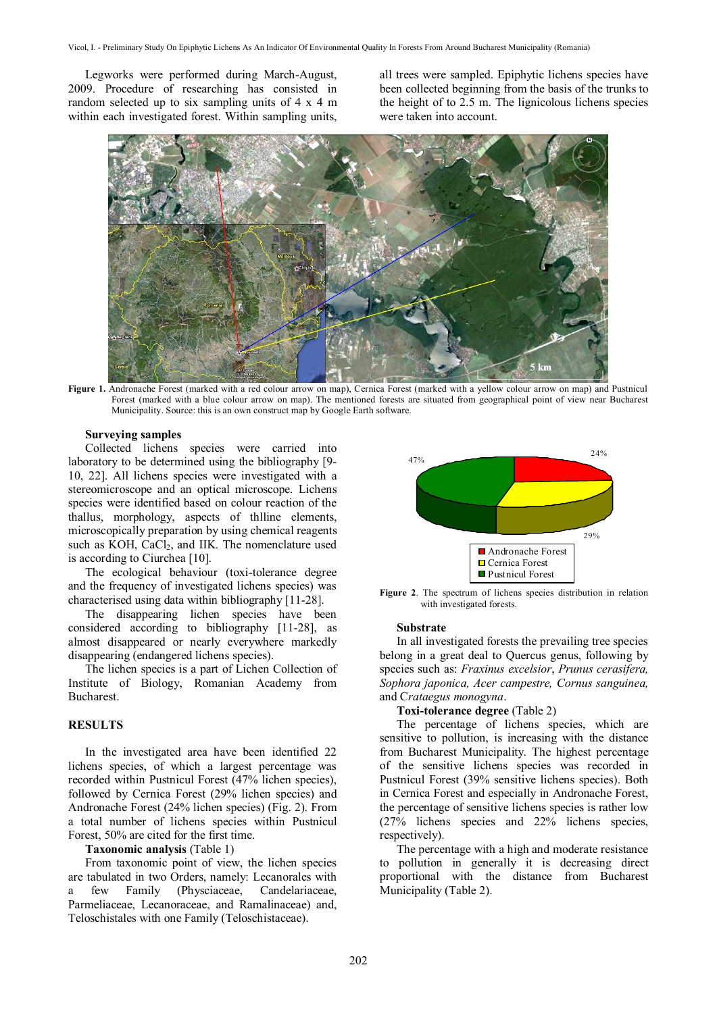Legworks were performed during March-August, 2009. Procedure of researching has consisted in random selected up to six sampling units of 4 x 4 m within each investigated forest. Within sampling units,

all trees were sampled. Epiphytic lichens species have been collected beginning from the basis of the trunks to the height of to 2.5 m. The lignicolous lichens species were taken into account.



**Figure 1.** Andronache Forest (marked with a red colour arrow on map), Cernica Forest (marked with a yellow colour arrow on map) and Pustnicul Forest (marked with a blue colour arrow on map). The mentioned forests are situated from geographical point of view near Bucharest Municipality. Source: this is an own construct map by Google Earth software.

#### **Surveying samples**

Collected lichens species were carried into laboratory to be determined using the bibliography [9- 10, 22]. All lichens species were investigated with a stereomicroscope and an optical microscope. Lichens species were identified based on colour reaction of the thallus, morphology, aspects of thlline elements, microscopically preparation by using chemical reagents such as KOH, CaCl<sub>2</sub>, and IIK. The nomenclature used is according to Ciurchea [10].

The ecological behaviour (toxi-tolerance degree and the frequency of investigated lichens species) was characterised using data within bibliography [11-28].

The disappearing lichen species have been considered according to bibliography [11-28], as almost disappeared or nearly everywhere markedly disappearing (endangered lichens species).

The lichen species is a part of Lichen Collection of Institute of Biology, Romanian Academy from Bucharest.

### **RESULTS**

In the investigated area have been identified 22 lichens species, of which a largest percentage was recorded within Pustnicul Forest (47% lichen species), followed by Cernica Forest (29% lichen species) and Andronache Forest (24% lichen species) (Fig. 2). From a total number of lichens species within Pustnicul Forest, 50% are cited for the first time.

# **Taxonomic analysis** (Table 1)

From taxonomic point of view, the lichen species are tabulated in two Orders, namely: Lecanorales with a few Family (Physciaceae, Candelariaceae, Parmeliaceae, Lecanoraceae, and Ramalinaceae) and, Teloschistales with one Family (Teloschistaceae).



**Figure 2**. The spectrum of lichens species distribution in relation with investigated forests.

#### **Substrate**

In all investigated forests the prevailing tree species belong in a great deal to Quercus genus, following by species such as: *Fraxinus excelsior*, *Prunus cerasifera, Sophora japonica, Acer campestre, Cornus sanguinea,* and C*rataegus monogyna*.

# **Toxi-tolerance degree** (Table 2)

The percentage of lichens species, which are sensitive to pollution, is increasing with the distance from Bucharest Municipality. The highest percentage of the sensitive lichens species was recorded in Pustnicul Forest (39% sensitive lichens species). Both in Cernica Forest and especially in Andronache Forest, the percentage of sensitive lichens species is rather low (27% lichens species and 22% lichens species, respectively).

The percentage with a high and moderate resistance to pollution in generally it is decreasing direct proportional with the distance from Bucharest Municipality (Table 2).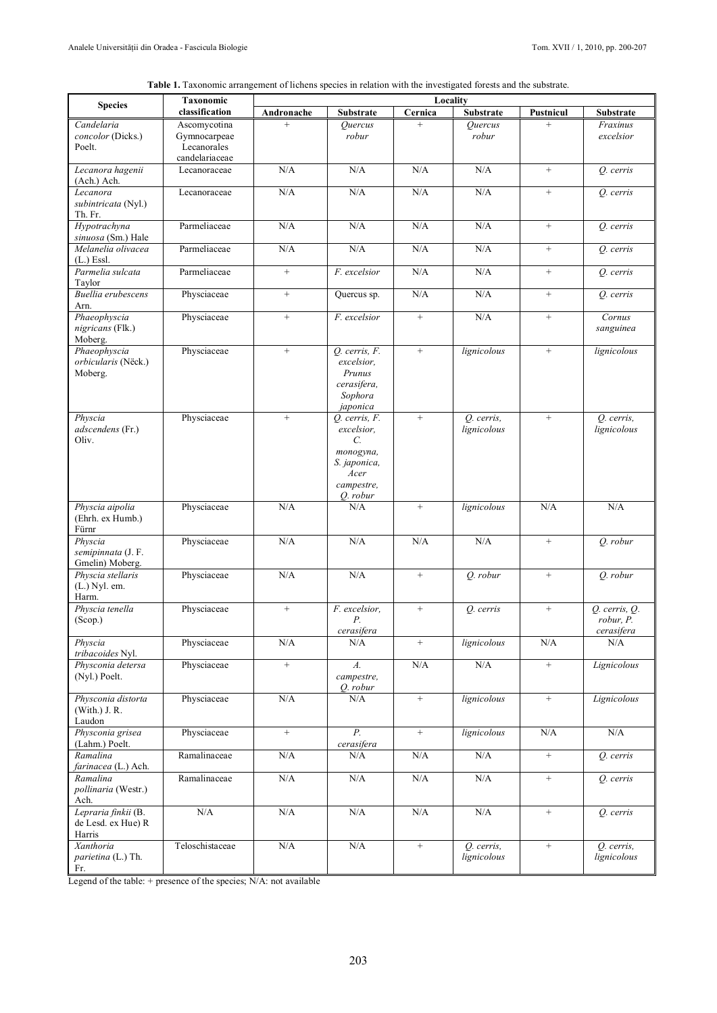|  |  | Table 1. Taxonomic arrangement of lichens species in relation with the investigated forests and the substrate. |
|--|--|----------------------------------------------------------------------------------------------------------------|
|  |  |                                                                                                                |

| <b>Species</b>                                      | Taxonomic                                   | Locality          |                                                                                                               |                   |                           |                   |                                              |
|-----------------------------------------------------|---------------------------------------------|-------------------|---------------------------------------------------------------------------------------------------------------|-------------------|---------------------------|-------------------|----------------------------------------------|
|                                                     | classification                              | Andronache        | Substrate                                                                                                     | Cernica           | <b>Substrate</b>          | <b>Pustnicul</b>  | Substrate                                    |
| Candelaria<br>concolor (Dicks.)<br>Poelt.           | Ascomycotina<br>Gymnocarpeae<br>Lecanorales | $^{+}$            | Ouercus<br>robur                                                                                              | $+$               | Quercus<br>robur          | $+$               | Fraxinus<br>excelsior                        |
|                                                     | candelariaceae                              |                   |                                                                                                               |                   |                           |                   |                                              |
| Lecanora hagenii<br>(Ach.) Ach.                     | Lecanoraceae                                | N/A               | N/A                                                                                                           | N/A               | N/A                       | $^{+}$            | O. cerris                                    |
| Lecanora<br>subintricata (Nyl.)<br>Th. Fr.          | Lecanoraceae                                | N/A               | N/A                                                                                                           | N/A               | N/A                       | $^{+}$            | O. cerris                                    |
| Hypotrachyna<br>sinuosa (Sm.) Hale                  | Parmeliaceae                                | N/A               | N/A                                                                                                           | N/A               | $\rm N/A$                 | $\qquad \qquad +$ | Q. cerris                                    |
| Melanelia olivacea<br>$(L)$ Essl.                   | Parmeliaceae                                | N/A               | N/A                                                                                                           | N/A               | N/A                       | $^{+}$            | Q. cerris                                    |
| Parmelia sulcata<br>Taylor                          | Parmeliaceae                                | $+$               | F. excelsior                                                                                                  | N/A               | N/A                       | $^{+}$            | O. cerris                                    |
| Buellia erubescens<br>Arn.                          | Physciaceae                                 | $+$               | Quercus sp.                                                                                                   | N/A               | N/A                       | $^{+}$            | Q. cerris                                    |
| Phaeophyscia<br>nigricans (Flk.)<br>Moberg.         | Physciaceae                                 | $+$               | F. excelsior                                                                                                  | $\qquad \qquad +$ | N/A                       | $+$               | Cornus<br>sanguinea                          |
| Phaeophyscia<br>orbicularis (Nëck.)<br>Moberg.      | Physciaceae                                 | $^{+}$            | Q. cerris, F.<br>excelsior.<br>Prunus<br>cerasifera,<br>Sophora<br>japonica                                   | $^{+}$            | lignicolous               | $^{+}$            | lignicolous                                  |
| Physcia<br>adscendens (Fr.)<br>Oliv.                | Physciaceae                                 | $\qquad \qquad +$ | O. cerris, F.<br>excelsior,<br>$\mathcal{C}$ .<br>monogyna,<br>S. japonica,<br>Acer<br>campestre,<br>Q. robur | $\qquad \qquad +$ | Q. cerris,<br>lignicolous | $^{+}$            | Q. cerris,<br>lignicolous                    |
| Physcia aipolia<br>(Ehrh. ex Humb.)<br>Fürnr        | Physciaceae                                 | N/A               | N/A                                                                                                           | $^{+}$            | lignicolous               | N/A               | N/A                                          |
| Physcia<br>semipinnata (J. F.<br>Gmelin) Moberg.    | Physciaceae                                 | N/A               | N/A                                                                                                           | N/A               | N/A                       | $\qquad \qquad +$ | Q. robur                                     |
| Physcia stellaris<br>$(L.)$ Nyl. em.<br>Harm.       | Physciaceae                                 | N/A               | N/A                                                                                                           | $^{+}$            | O. robur                  | $^{+}$            | O. robur                                     |
| Physcia tenella<br>(Scop.)                          | Physciaceae                                 | $\qquad \qquad +$ | F. excelsior,<br>Р.<br>cerasifera                                                                             | $\qquad \qquad +$ | Q. cerris                 | $\qquad \qquad +$ | $Q.$ cerris, $Q.$<br>robur, P.<br>cerasifera |
| Physcia<br>tribacoides Nyl.                         | Physciaceae                                 | $\rm N/A$         | N/A                                                                                                           | $^{+}$            | lignicolous               | $\rm N/A$         | N/A                                          |
| Physconia detersa<br>(Nyl.) Poelt.                  | Physciaceae                                 | $^+$              | $A$ .<br>campestre,<br>Q. robur                                                                               | N/A               | N/A                       | $^+$              | Lignicolous                                  |
| Physconia distorta<br>(With.) J. R.<br>Laudon       | Physciaceae                                 | $\rm N/A$         | N/A                                                                                                           | $^+$              | lignicolous               | $\! + \!\!\!\!$   | Lignicolous                                  |
| Physconia grisea<br>(Lahm.) Poelt.                  | Physciaceae                                 | $^{+}$            | $\overline{P}$ .<br>cerasifera                                                                                | $^{+}$            | lignicolous               | $\rm N/A$         | $\rm N/A$                                    |
| Ramalina<br>farinacea (L.) Ach.                     | Ramalinaceae                                | $\rm N/A$         | N/A                                                                                                           | N/A               | N/A                       | $+$               | Q. cerris                                    |
| Ramalina<br>pollinaria (Westr.)<br>Ach.             | Ramalinaceae                                | $\rm N/A$         | N/A                                                                                                           | N/A               | N/A                       | $\! + \!\!\!\!$   | Q. cerris                                    |
| Lepraria finkii (B.<br>de Lesd. ex Hue) R<br>Harris | N/A                                         | N/A               | N/A                                                                                                           | N/A               | N/A                       | $\qquad \qquad +$ | Q. cerris                                    |
| Xanthoria<br>parietina (L.) Th.<br>Fr.              | Teloschistaceae                             | $\rm N/A$         | N/A                                                                                                           | $\qquad \qquad +$ | Q. cerris,<br>lignicolous | $\qquad \qquad +$ | Q. cerris,<br>lignicolous                    |

Legend of the table: + presence of the species; N/A: not available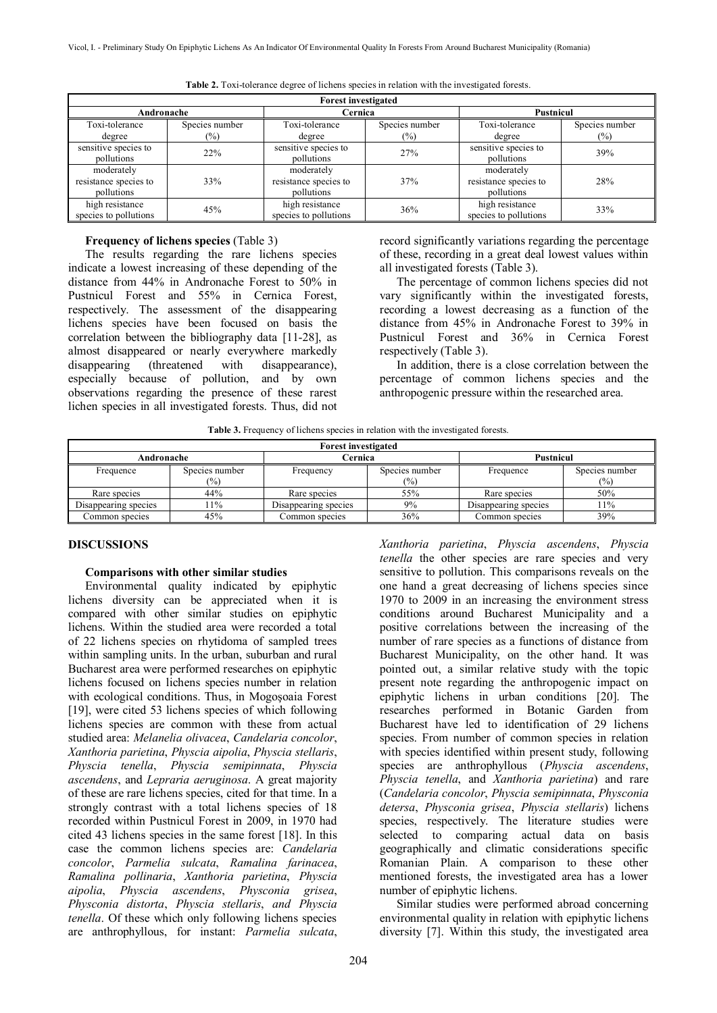| <b>Forest investigated</b>                        |                |                                                   |                |                                                   |                |  |  |
|---------------------------------------------------|----------------|---------------------------------------------------|----------------|---------------------------------------------------|----------------|--|--|
| Andronache                                        |                | Cernica                                           |                | Pustnicul                                         |                |  |  |
| Toxi-tolerance                                    | Species number | Toxi-tolerance                                    | Species number | Toxi-tolerance                                    | Species number |  |  |
| degree                                            | $(\%)$         | degree                                            | $(\%)$         | degree                                            | $(\%)$         |  |  |
| sensitive species to<br>pollutions                | 22%            | sensitive species to<br>pollutions                | 27%            | sensitive species to<br>pollutions                | 39%            |  |  |
| moderately<br>resistance species to<br>pollutions | 33%            | moderately<br>resistance species to<br>pollutions | 37%            | moderately<br>resistance species to<br>pollutions | 28%            |  |  |
| high resistance<br>species to pollutions          | 45%            | high resistance<br>species to pollutions          | 36%            | high resistance<br>species to pollutions          | 33%            |  |  |

**Table 2.** Toxi-tolerance degree of lichens species in relation with the investigated forests.

# **Frequency of lichens species** (Table 3)

The results regarding the rare lichens species indicate a lowest increasing of these depending of the distance from 44% in Andronache Forest to 50% in Pustnicul Forest and 55% in Cernica Forest, respectively. The assessment of the disappearing lichens species have been focused on basis the correlation between the bibliography data [11-28], as almost disappeared or nearly everywhere markedly disappearing (threatened with disappearance), especially because of pollution, and by own observations regarding the presence of these rarest lichen species in all investigated forests. Thus, did not record significantly variations regarding the percentage of these, recording in a great deal lowest values within all investigated forests (Table 3).

The percentage of common lichens species did not vary significantly within the investigated forests, recording a lowest decreasing as a function of the distance from 45% in Andronache Forest to 39% in Pustnicul Forest and 36% in Cernica Forest respectively (Table 3).

In addition, there is a close correlation between the percentage of common lichens species and the anthropogenic pressure within the researched area.

*Xanthoria parietina*, *Physcia ascendens*, *Physcia tenella* the other species are rare species and very sensitive to pollution. This comparisons reveals on the one hand a great decreasing of lichens species since 1970 to 2009 in an increasing the environment stress conditions around Bucharest Municipality and a positive correlations between the increasing of the number of rare species as a functions of distance from Bucharest Municipality, on the other hand. It was pointed out, a similar relative study with the topic present note regarding the anthropogenic impact on epiphytic lichens in urban conditions [20]. The researches performed in Botanic Garden from Bucharest have led to identification of 29 lichens species. From number of common species in relation with species identified within present study, following species are anthrophyllous (*Physcia ascendens*, *Physcia tenella*, and *Xanthoria parietina*) and rare (*Candelaria concolor*, *Physcia semipinnata*, *Physconia*

|  |  | Table 3. Frequency of lichens species in relation with the investigated forests. |  |
|--|--|----------------------------------------------------------------------------------|--|
|  |  |                                                                                  |  |

| <b>Forest investigated</b>         |     |                      |                       |                      |                       |  |  |
|------------------------------------|-----|----------------------|-----------------------|----------------------|-----------------------|--|--|
| Andronache                         |     | Cernica              |                       | Pustnicul            |                       |  |  |
| Species number<br>Frequence<br>(%) |     | Frequency            | Species number<br>(%) | Frequence            | Species number<br>(%) |  |  |
| Rare species                       | 44% | Rare species         | 55%                   | Rare species         | 50%                   |  |  |
| Disappearing species               | 11% | Disappearing species | 9%                    | Disappearing species | 11%                   |  |  |
| Common species                     | 45% | Common species       | 36%                   | Common species       | 39%                   |  |  |

### **DISCUSSIONS**

#### **Comparisons with other similar studies**

Environmental quality indicated by epiphytic lichens diversity can be appreciated when it is compared with other similar studies on epiphytic lichens. Within the studied area were recorded a total of 22 lichens species on rhytidoma of sampled trees within sampling units. In the urban, suburban and rural Bucharest area were performed researches on epiphytic lichens focused on lichens species number in relation with ecological conditions. Thus, in Mogoşoaia Forest [19], were cited 53 lichens species of which following lichens species are common with these from actual studied area: *Melanelia olivacea*, *Candelaria concolor*, *Xanthoria parietina*, *Physcia aipolia*, *Physcia stellaris*, *Physcia tenella*, *Physcia semipinnata*, *Physcia ascendens*, and *Lepraria aeruginosa*. A great majority of these are rare lichens species, cited for that time. In a strongly contrast with a total lichens species of 18 recorded within Pustnicul Forest in 2009, in 1970 had cited 43 lichens species in the same forest [18]. In this case the common lichens species are: *Candelaria concolor*, *Parmelia sulcata*, *Ramalina farinacea*, *Ramalina pollinaria*, *Xanthoria parietina*, *Physcia aipolia*, *Physcia ascendens*, *Physconia grisea*, *Physconia distorta*, *Physcia stellaris*, *and Physcia tenella*. Of these which only following lichens species are anthrophyllous, for instant: *Parmelia sulcata*,

*detersa*, *Physconia grisea*, *Physcia stellaris*) lichens species, respectively. The literature studies were selected to comparing actual data on basis geographically and climatic considerations specific Romanian Plain. A comparison to these other mentioned forests, the investigated area has a lower number of epiphytic lichens. Similar studies were performed abroad concerning environmental quality in relation with epiphytic lichens diversity [7]. Within this study, the investigated area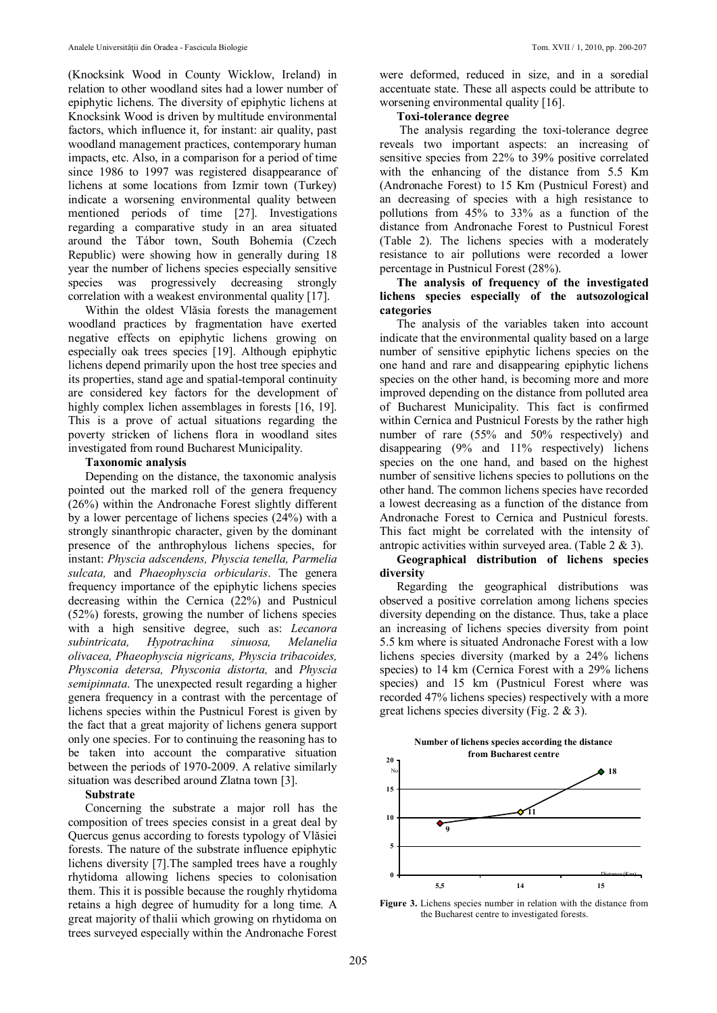(Knocksink Wood in County Wicklow, Ireland) in relation to other woodland sites had a lower number of epiphytic lichens. The diversity of epiphytic lichens at Knocksink Wood is driven by multitude environmental factors, which influence it, for instant: air quality, past woodland management practices, contemporary human impacts, etc. Also, in a comparison for a period of time since 1986 to 1997 was registered disappearance of lichens at some locations from Izmir town (Turkey) indicate a worsening environmental quality between mentioned periods of time [27]. Investigations regarding a comparative study in an area situated around the Tábor town, South Bohemia (Czech Republic) were showing how in generally during 18 year the number of lichens species especially sensitive species was progressively decreasing strongly correlation with a weakest environmental quality [17].

Within the oldest Vlăsia forests the management woodland practices by fragmentation have exerted negative effects on epiphytic lichens growing on especially oak trees species [19]. Although epiphytic lichens depend primarily upon the host tree species and its properties, stand age and spatial-temporal continuity are considered key factors for the development of highly complex lichen assemblages in forests [16, 19]. This is a prove of actual situations regarding the poverty stricken of lichens flora in woodland sites investigated from round Bucharest Municipality.

### **Taxonomic analysis**

Depending on the distance, the taxonomic analysis pointed out the marked roll of the genera frequency (26%) within the Andronache Forest slightly different by a lower percentage of lichens species (24%) with a strongly sinanthropic character, given by the dominant presence of the anthrophylous lichens species, for instant: *Physcia adscendens, Physcia tenella, Parmelia sulcata,* and *Phaeophyscia orbicularis*. The genera frequency importance of the epiphytic lichens species decreasing within the Cernica (22%) and Pustnicul (52%) forests, growing the number of lichens species with a high sensitive degree, such as: *Lecanora subintricata, Hypotrachina sinuosa, Melanelia olivacea, Phaeophyscia nigricans, Physcia tribacoides, Physconia detersa, Physconia distorta,* and *Physcia semipinnata*. The unexpected result regarding a higher genera frequency in a contrast with the percentage of lichens species within the Pustnicul Forest is given by the fact that a great majority of lichens genera support only one species. For to continuing the reasoning has to be taken into account the comparative situation between the periods of 1970-2009. A relative similarly situation was described around Zlatna town [3].

#### **Substrate**

Concerning the substrate a major roll has the composition of trees species consist in a great deal by Quercus genus according to forests typology of Vlăsiei forests. The nature of the substrate influence epiphytic lichens diversity [7].The sampled trees have a roughly rhytidoma allowing lichens species to colonisation them. This it is possible because the roughly rhytidoma retains a high degree of humudity for a long time. A great majority of thalii which growing on rhytidoma on trees surveyed especially within the Andronache Forest

were deformed, reduced in size, and in a soredial accentuate state. These all aspects could be attribute to worsening environmental quality [16].

# **Toxi-tolerance degree**

 The analysis regarding the toxi-tolerance degree reveals two important aspects: an increasing of sensitive species from 22% to 39% positive correlated with the enhancing of the distance from 5.5 Km (Andronache Forest) to 15 Km (Pustnicul Forest) and an decreasing of species with a high resistance to pollutions from 45% to 33% as a function of the distance from Andronache Forest to Pustnicul Forest (Table 2). The lichens species with a moderately resistance to air pollutions were recorded a lower percentage in Pustnicul Forest (28%).

# **The analysis of frequency of the investigated lichens species especially of the autsozological categories**

The analysis of the variables taken into account indicate that the environmental quality based on a large number of sensitive epiphytic lichens species on the one hand and rare and disappearing epiphytic lichens species on the other hand, is becoming more and more improved depending on the distance from polluted area of Bucharest Municipality. This fact is confirmed within Cernica and Pustnicul Forests by the rather high number of rare (55% and 50% respectively) and disappearing (9% and 11% respectively) lichens species on the one hand, and based on the highest number of sensitive lichens species to pollutions on the other hand. The common lichens species have recorded a lowest decreasing as a function of the distance from Andronache Forest to Cernica and Pustnicul forests. This fact might be correlated with the intensity of antropic activities within surveyed area. (Table 2 & 3).

**Geographical distribution of lichens species diversity**

Regarding the geographical distributions was observed a positive correlation among lichens species diversity depending on the distance. Thus, take a place an increasing of lichens species diversity from point 5.5 km where is situated Andronache Forest with a low lichens species diversity (marked by a 24% lichens species) to 14 km (Cernica Forest with a 29% lichens species) and 15 km (Pustnicul Forest where was recorded 47% lichens species) respectively with a more great lichens species diversity (Fig. 2 & 3).





**Figure 3.** Lichens species number in relation with the distance from the Bucharest centre to investigated forests.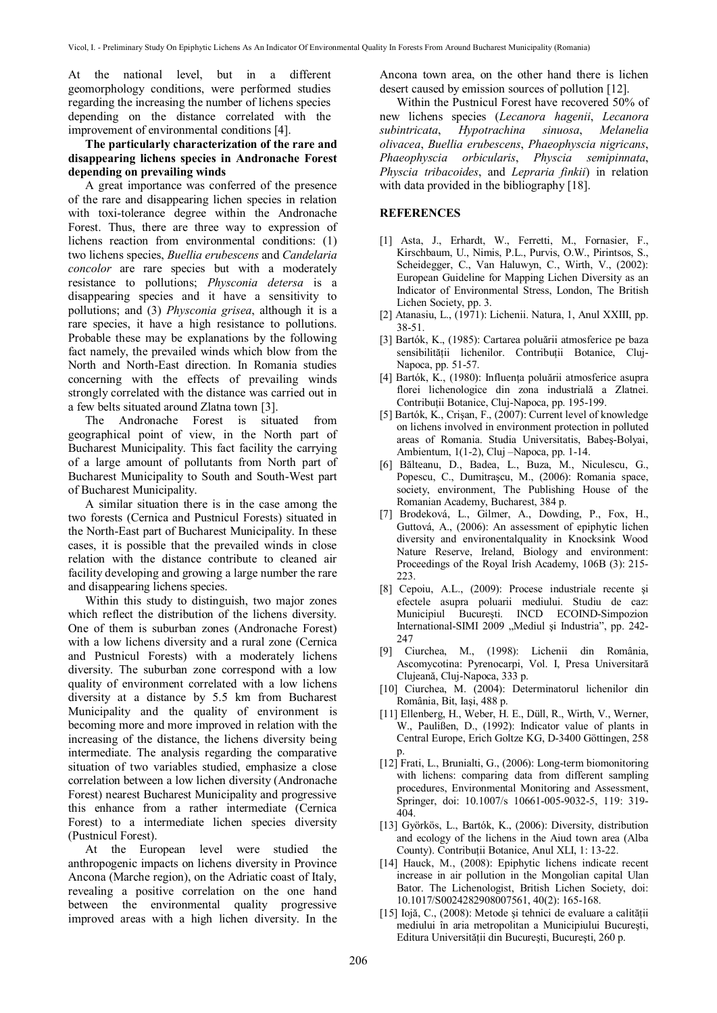At the national level, but in a different geomorphology conditions, were performed studies regarding the increasing the number of lichens species depending on the distance correlated with the improvement of environmental conditions [4].

# **The particularly characterization of the rare and disappearing lichens species in Andronache Forest depending on prevailing winds**

A great importance was conferred of the presence of the rare and disappearing lichen species in relation with toxi-tolerance degree within the Andronache Forest. Thus, there are three way to expression of lichens reaction from environmental conditions: (1) two lichens species, *Buellia erubescens* and *Candelaria concolor* are rare species but with a moderately resistance to pollutions; *Physconia detersa* is a disappearing species and it have a sensitivity to pollutions; and (3) *Physconia grisea*, although it is a rare species, it have a high resistance to pollutions. Probable these may be explanations by the following fact namely, the prevailed winds which blow from the North and North-East direction. In Romania studies concerning with the effects of prevailing winds strongly correlated with the distance was carried out in a few belts situated around Zlatna town [3].

The Andronache Forest is situated from geographical point of view, in the North part of Bucharest Municipality. This fact facility the carrying of a large amount of pollutants from North part of Bucharest Municipality to South and South-West part of Bucharest Municipality.

A similar situation there is in the case among the two forests (Cernica and Pustnicul Forests) situated in the North-East part of Bucharest Municipality. In these cases, it is possible that the prevailed winds in close relation with the distance contribute to cleaned air facility developing and growing a large number the rare and disappearing lichens species.

Within this study to distinguish, two major zones which reflect the distribution of the lichens diversity. One of them is suburban zones (Andronache Forest) with a low lichens diversity and a rural zone (Cernica and Pustnicul Forests) with a moderately lichens diversity. The suburban zone correspond with a low quality of environment correlated with a low lichens diversity at a distance by 5.5 km from Bucharest Municipality and the quality of environment is becoming more and more improved in relation with the increasing of the distance, the lichens diversity being intermediate. The analysis regarding the comparative situation of two variables studied, emphasize a close correlation between a low lichen diversity (Andronache Forest) nearest Bucharest Municipality and progressive this enhance from a rather intermediate (Cernica Forest) to a intermediate lichen species diversity (Pustnicul Forest).

At the European level were studied the anthropogenic impacts on lichens diversity in Province Ancona (Marche region), on the Adriatic coast of Italy, revealing a positive correlation on the one hand between the environmental quality progressive improved areas with a high lichen diversity. In the Ancona town area, on the other hand there is lichen desert caused by emission sources of pollution [12].

Within the Pustnicul Forest have recovered 50% of new lichens species (*Lecanora hagenii*, *Lecanora subintricata*, *Hypotrachina sinuosa*, *Melanelia olivacea*, *Buellia erubescens*, *Phaeophyscia nigricans*, *Phaeophyscia orbicularis*, *Physcia semipinnata*, *Physcia tribacoides*, and *Lepraria finkii*) in relation with data provided in the bibliography [18].

#### **REFERENCES**

- [1] Asta, J., Erhardt, W., Ferretti, M., Fornasier, F., Kirschbaum, U., Nimis, P.L., Purvis, O.W., Pirintsos, S., Scheidegger, C., Van Haluwyn, C., Wirth, V., (2002): European Guideline for Mapping Lichen Diversity as an Indicator of Environmental Stress, London, The British Lichen Society, pp. 3.
- [2] Atanasiu, L., (1971): Lichenii. Natura, 1, Anul XXIII, pp. 38-51.
- [3] Bartók, K., (1985): Cartarea poluării atmosferice pe baza sensibilităţii lichenilor. Contribuţii Botanice, Cluj-Napoca, pp. 51-57.
- [4] Bartók, K., (1980): Influenţa poluării atmosferice asupra florei lichenologice din zona industrială a Zlatnei. Contributii Botanice, Cluj-Napoca, pp. 195-199.
- [5] Bartók, K., Crişan, F., (2007): Current level of knowledge on lichens involved in environment protection in polluted areas of Romania. Studia Universitatis, Babeş-Bolyai, Ambientum, 1(1-2), Cluj –Napoca, pp. 1-14.
- [6] Bălteanu, D., Badea, L., Buza, M., Niculescu, G., Popescu, C., Dumitraşcu, M., (2006): Romania space, society, environment, The Publishing House of the Romanian Academy, Bucharest, 384 p.
- [7] Brodeková, L., Gilmer, A., Dowding, P., Fox, H., Guttová, A., (2006): An assessment of epiphytic lichen diversity and environentalquality in Knocksink Wood Nature Reserve, Ireland, Biology and environment: Proceedings of the Royal Irish Academy, 106B (3): 215- 223.
- [8] Cepoiu, A.L., (2009): Procese industriale recente şi efectele asupra poluarii mediului. Studiu de caz: Municipiul Bucureşti. INCD ECOIND-Simpozion International-SIMI 2009 "Mediul și Industria", pp. 242-247
- [9] Ciurchea, M., (1998): Lichenii din România, Ascomycotina: Pyrenocarpi, Vol. I, Presa Universitară Clujeană, Cluj-Napoca, 333 p.
- [10] Ciurchea, M. (2004): Determinatorul lichenilor din România, Bit, Iaşi, 488 p.
- [11] Ellenberg, H., Weber, H. E., Düll, R., Wirth, V., Werner, W., Paulißen, D., (1992): Indicator value of plants in Central Europe, Erich Goltze KG, D-3400 Göttingen, 258 p.
- [12] Frati, L., Brunialti, G., (2006): Long-term biomonitoring with lichens: comparing data from different sampling procedures, Environmental Monitoring and Assessment, Springer, doi: 10.1007/s 10661-005-9032-5, 119: 319- 404.
- [13] Györkös, L., Bartók, K., (2006): Diversity, distribution and ecology of the lichens in the Aiud town area (Alba County). Contributii Botanice, Anul XLI, 1: 13-22.
- [14] Hauck, M., (2008): Epiphytic lichens indicate recent increase in air pollution in the Mongolian capital Ulan Bator. The Lichenologist, British Lichen Society, doi: 10.1017/S0024282908007561, 40(2): 165-168.
- [15] Iojă, C., (2008): Metode şi tehnici de evaluare a calităţii mediului în aria metropolitan a Municipiului Bucureşti, Editura Universităţii din Bucureşti, Bucureşti, 260 p.